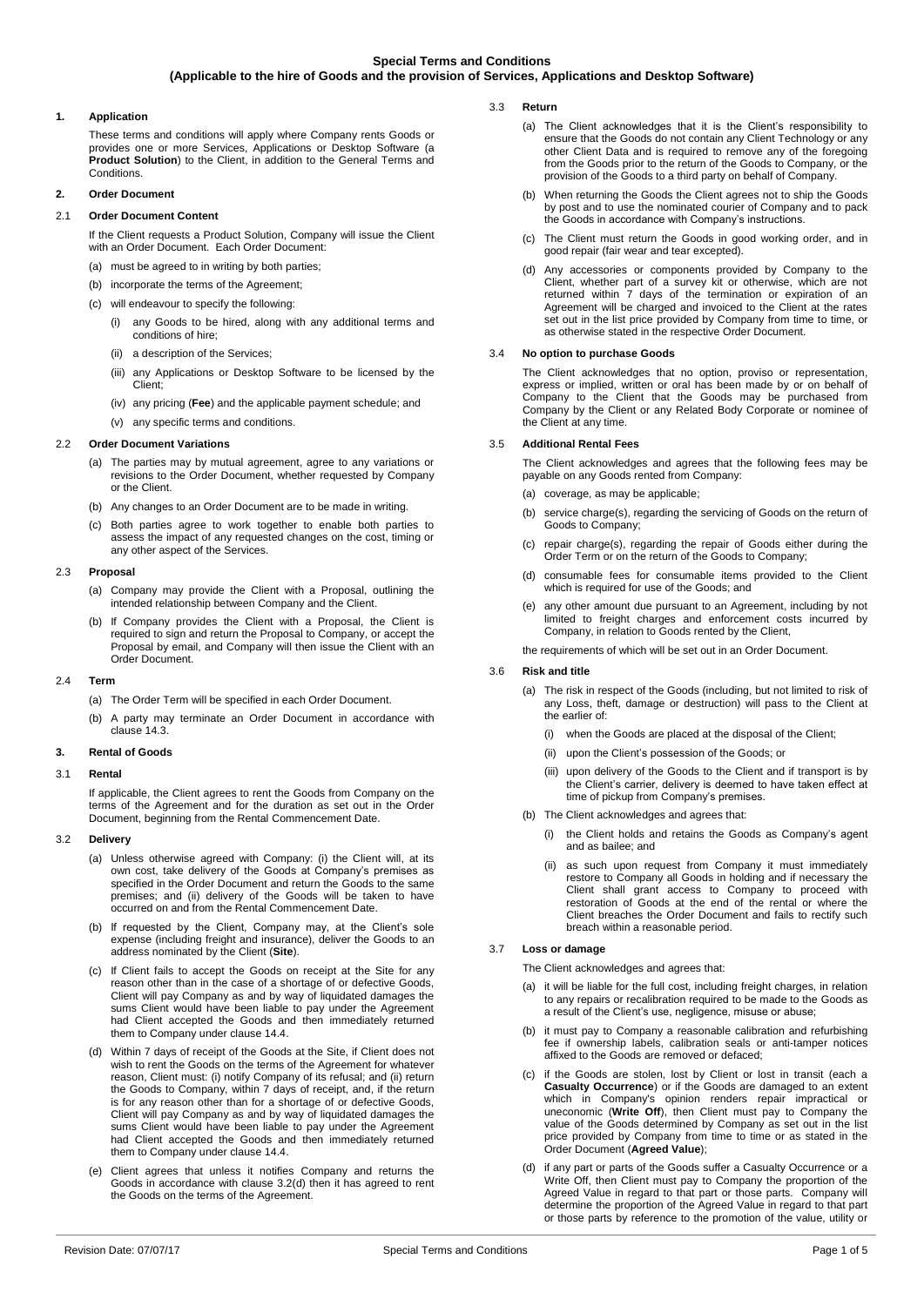# **1. Application**

These terms and conditions will apply where Company rents Goods or provides one or more Services, Applications or Desktop Software (a **Product Solution**) to the Client, in addition to the General Terms and **Conditions** 

# **2. Order Document**

# 2.1 **Order Document Content**

If the Client requests a Product Solution, Company will issue the Client with an Order Document. Each Order Document:

- (a) must be agreed to in writing by both parties;
- (b) incorporate the terms of the Agreement
- (c) will endeavour to specify the following:
	- (i) any Goods to be hired, along with any additional terms and conditions of hire;
	- (ii) a description of the Services;
	- (iii) any Applications or Desktop Software to be licensed by the Client;
	- (iv) any pricing (**Fee**) and the applicable payment schedule; and
	- (v) any specific terms and conditions.

## 2.2 **Order Document Variations**

- (a) The parties may by mutual agreement, agree to any variations or revisions to the Order Document, whether requested by Company or the Client.
- (b) Any changes to an Order Document are to be made in writing.
- (c) Both parties agree to work together to enable both parties to assess the impact of any requested changes on the cost, timing or any other aspect of the Services.

### 2.3 **Proposal**

- (a) Company may provide the Client with a Proposal, outlining the intended relationship between Company and the Client.
- (b) If Company provides the Client with a Proposal, the Client is required to sign and return the Proposal to Company, or accept the Proposal by email, and Company will then issue the Client with an Order Document.

## 2.4 **Term**

- (a) The Order Term will be specified in each Order Document.
- (b) A party may terminate an Order Document in accordance with clause [14.3.](#page-3-0)

# **3. Rental of Goods**

# 3.1 **Rental**

If applicable, the Client agrees to rent the Goods from Company on the terms of the Agreement and for the duration as set out in the Order Document, beginning from the Rental Commencement Date.

### 3.2 **Delivery**

- (a) Unless otherwise agreed with Company: (i) the Client will, at its own cost, take delivery of the Goods at Company's premises as specified in the Order Document and return the Goods to the same premises; and (ii) delivery of the Goods will be taken to have occurred on and from the Rental Commencement Date.
- (b) If requested by the Client, Company may, at the Client's sole expense (including freight and insurance), deliver the Goods to an address nominated by the Client (**Site**).
- (c) If Client fails to accept the Goods on receipt at the Site for any reason other than in the case of a shortage of or defective Goods, Client will pay Company as and by way of liquidated damages the sums Client would have been liable to pay under the Agreement had Client accepted the Goods and then immediately returned them to Company under clause [14.4.](#page-3-1)
- <span id="page-0-0"></span>(d) Within 7 days of receipt of the Goods at the Site, if Client does not wish to rent the Goods on the terms of the Agreement for whatever reason, Client must: (i) notify Company of its refusal; and (ii) return the Goods to Company, within 7 days of receipt, and, if the return is for any reason other than for a shortage of or defective Goods, Client will pay Company as and by way of liquidated damages the sums Client would have been liable to pay under the Agreement had Client accepted the Goods and then immediately returned them to Company under claus[e 14.4.](#page-3-1)
- (e) Client agrees that unless it notifies Company and returns the Goods in accordance with clause [3.2\(d\)](#page-0-0) then it has agreed to rent the Goods on the terms of the Agreement.
- 3.3 **Return** 
	- (a) The Client acknowledges that it is the Client's responsibility to ensure that the Goods do not contain any Client Technology or any other Client Data and is required to remove any of the foregoing from the Goods prior to the return of the Goods to Company, or the provision of the Goods to a third party on behalf of Company.
	- (b) When returning the Goods the Client agrees not to ship the Goods by post and to use the nominated courier of Company and to pack the Goods in accordance with Company's instructions.
	- (c) The Client must return the Goods in good working order, and in good repair (fair wear and tear excepted).
	- (d) Any accessories or components provided by Company to the Client, whether part of a survey kit or otherwise, which are not returned within 7 days of the termination or expiration of an Agreement will be charged and invoiced to the Client at the rates set out in the list price provided by Company from time to time, or as otherwise stated in the respective Order Document.

## <span id="page-0-3"></span>3.4 **No option to purchase Goods**

The Client acknowledges that no option, proviso or representation, express or implied, written or oral has been made by or on behalf of Company to the Client that the Goods may be purchased from Company by the Client or any Related Body Corporate or nominee of the Client at any time.

## 3.5 **Additional Rental Fees**

The Client acknowledges and agrees that the following fees may be payable on any Goods rented from Company:

- (a) coverage, as may be applicable;
- (b) service charge(s), regarding the servicing of Goods on the return of Goods to Company;
- (c) repair charge(s), regarding the repair of Goods either during the Order Term or on the return of the Goods to Company;
- (d) consumable fees for consumable items provided to the Client which is required for use of the Goods; and
- (e) any other amount due pursuant to an Agreement, including by not limited to freight charges and enforcement costs incurred by Company, in relation to Goods rented by the Client,

the requirements of which will be set out in an Order Document.

### 3.6 **Risk and title**

- (a) The risk in respect of the Goods (including, but not limited to risk of any Loss, theft, damage or destruction) will pass to the Client at the earlier of:
	- (i) when the Goods are placed at the disposal of the Client;
	- (ii) upon the Client's possession of the Goods; or
	- (iii) upon delivery of the Goods to the Client and if transport is by the Client's carrier, delivery is deemed to have taken effect at time of pickup from Company's premises.
- (b) The Client acknowledges and agrees that:
	- (i) the Client holds and retains the Goods as Company's agent and as bailee; and
	- (ii) as such upon request from Company it must immediately restore to Company all Goods in holding and if necessary the Client shall grant access to Company to proceed with restoration of Goods at the end of the rental or where the Client breaches the Order Document and fails to rectify such breach within a reasonable period.

# 3.7 **Loss or damage**

The Client acknowledges and agrees that:

- (a) it will be liable for the full cost, including freight charges, in relation to any repairs or recalibration required to be made to the Goods as a result of the Client's use, negligence, misuse or abuse;
- (b) it must pay to Company a reasonable calibration and refurbishing fee if ownership labels, calibration seals or anti-tamper notices affixed to the Goods are removed or defaced;
- <span id="page-0-1"></span>if the Goods are stolen, lost by Client or lost in transit (each a **Casualty Occurrence**) or if the Goods are damaged to an extent which in Company's opinion renders repair impractical or uneconomic (**Write Off**), then Client must pay to Company the value of the Goods determined by Company as set out in the list price provided by Company from time to time or as stated in the Order Document (**Agreed Value**);
- <span id="page-0-2"></span>(d) if any part or parts of the Goods suffer a Casualty Occurrence or a Write Off, then Client must pay to Company the proportion of the Agreed Value in regard to that part or those parts. Company will determine the proportion of the Agreed Value in regard to that part or those parts by reference to the promotion of the value, utility or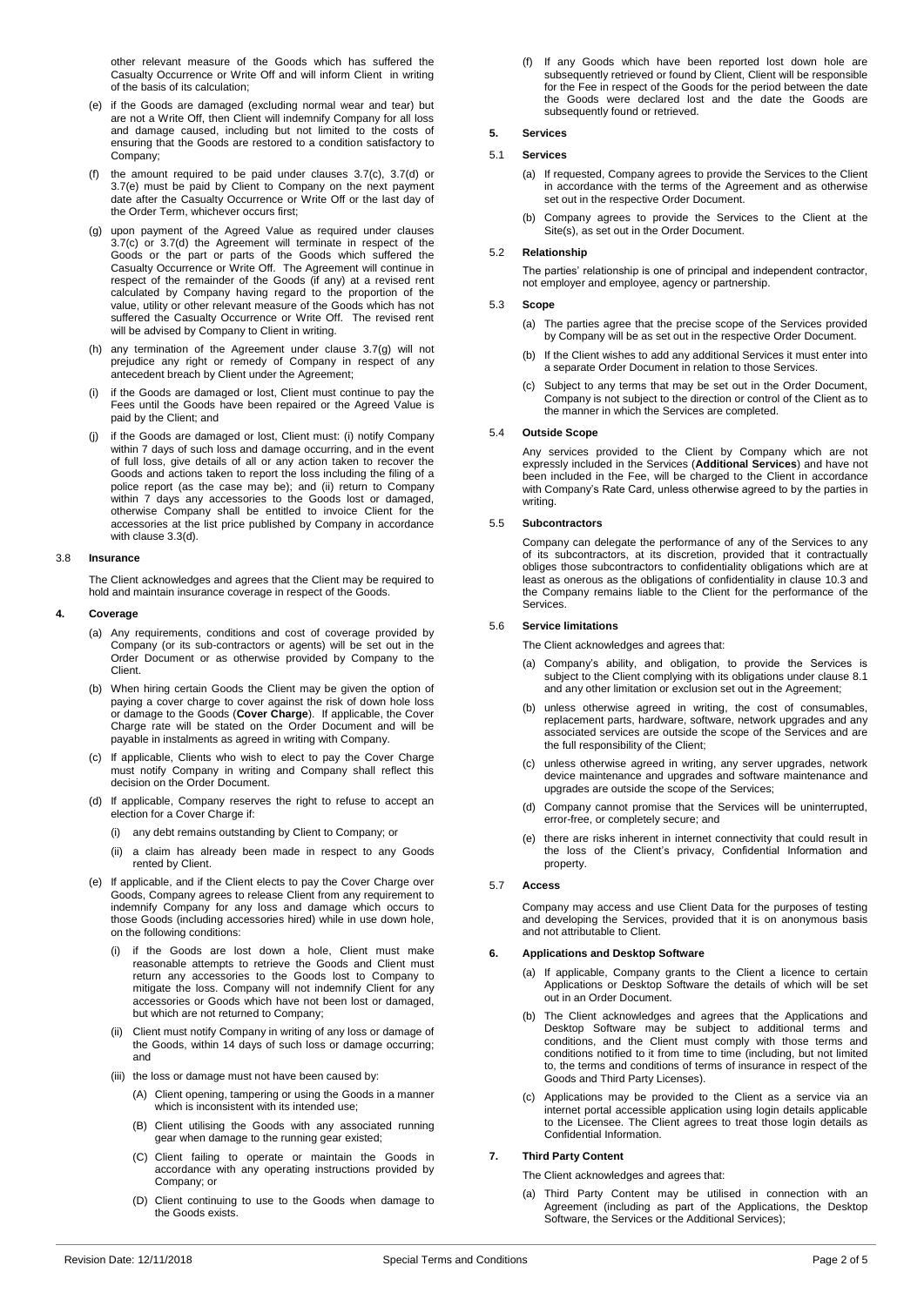other relevant measure of the Goods which has suffered the Casualty Occurrence or Write Off and will inform Client in writing of the basis of its calculation;

- <span id="page-1-0"></span>(e) if the Goods are damaged (excluding normal wear and tear) but are not a Write Off, then Client will indemnify Company for all loss and damage caused, including but not limited to the costs of ensuring that the Goods are restored to a condition satisfactory to Company;
- (f) the amount required to be paid under clauses [3.7\(c\),](#page-0-1) [3.7\(d\)](#page-0-2) or [3.7\(e\)](#page-1-0) must be paid by Client to Company on the next payment date after the Casualty Occurrence or Write Off or the last day of the Order Term, whichever occurs first;
- <span id="page-1-1"></span>(g) upon payment of the Agreed Value as required under clauses [3.7\(c\)](#page-0-1) or [3.7\(d\)](#page-0-2) the Agreement will terminate in respect of the Goods or the part or parts of the Goods which suffered the Casualty Occurrence or Write Off. The Agreement will continue in respect of the remainder of the Goods (if any) at a revised rent calculated by Company having regard to the proportion of the value, utility or other relevant measure of the Goods which has not suffered the Casualty Occurrence or Write Off. The revised rent will be advised by Company to Client in writing.
- (h) any termination of the Agreement under clause [3.7\(g\)](#page-1-1) will not prejudice any right or remedy of Company in respect of any antecedent breach by Client under the Agreement;
- if the Goods are damaged or lost, Client must continue to pay the Fees until the Goods have been repaired or the Agreed Value is paid by the Client; and
- <span id="page-1-2"></span>(j) if the Goods are damaged or lost, Client must: (i) notify Company within 7 days of such loss and damage occurring, and in the event of full loss, give details of all or any action taken to recover the Goods and actions taken to report the loss including the filing of a police report (as the case may be); and (ii) return to Company within 7 days any accessories to the Goods lost or damaged, otherwise Company shall be entitled to invoice Client for the accessories at the list price published by Company in accordance with clause [3.3\(d\).](#page-0-3)

#### 3.8 **Insurance**

The Client acknowledges and agrees that the Client may be required to hold and maintain insurance coverage in respect of the Goods.

#### **4. Coverage**

- (a) Any requirements, conditions and cost of coverage provided by Company (or its sub-contractors or agents) will be set out in the Order Document or as otherwise provided by Company to the Client.
- (b) When hiring certain Goods the Client may be given the option of paying a cover charge to cover against the risk of down hole loss or damage to the Goods (**Cover Charge**). If applicable, the Cover Charge rate will be stated on the Order Document and will be payable in instalments as agreed in writing with Company.
- (c) If applicable, Clients who wish to elect to pay the Cover Charge must notify Company in writing and Company shall reflect this decision on the Order Document
- (d) If applicable, Company reserves the right to refuse to accept an election for a Cover Charge if:
	- (i) any debt remains outstanding by Client to Company; or
	- (ii) a claim has already been made in respect to any Goods rented by Client.
- (e) If applicable, and if the Client elects to pay the Cover Charge over Goods, Company agrees to release Client from any requirement to indemnify Company for any loss and damage which occurs to those Goods (including accessories hired) while in use down hole, on the following conditions:
	- (i) if the Goods are lost down a hole, Client must make reasonable attempts to retrieve the Goods and Client must return any accessories to the Goods lost to Company to mitigate the loss. Company will not indemnify Client for any accessories or Goods which have not been lost or damaged, but which are not returned to Company;
	- (ii) Client must notify Company in writing of any loss or damage of the Goods, within 14 days of such loss or damage occurring; and
	- (iii) the loss or damage must not have been caused by:
		- (A) Client opening, tampering or using the Goods in a manner which is inconsistent with its intended use;
		- (B) Client utilising the Goods with any associated running gear when damage to the running gear existed;
		- (C) Client failing to operate or maintain the Goods in accordance with any operating instructions provided by Company; or
		- (D) Client continuing to use to the Goods when damage to the Goods exists.

(f) If any Goods which have been reported lost down hole are subsequently retrieved or found by Client, Client will be responsible for the Fee in respect of the Goods for the period between the date the Goods were declared lost and the date the Goods are subsequently found or retrieved.

# **5. Services**

# 5.1 **Services**

- (a) If requested, Company agrees to provide the Services to the Client in accordance with the terms of the Agreement and as otherwise set out in the respective Order Document.
- (b) Company agrees to provide the Services to the Client at the Site(s), as set out in the Order Document.

## 5.2 **Relationship**

The parties' relationship is one of principal and independent contractor, not employer and employee, agency or partnership.

### 5.3 **Scope**

- (a) The parties agree that the precise scope of the Services provided by Company will be as set out in the respective Order Document.
- (b) If the Client wishes to add any additional Services it must enter into a separate Order Document in relation to those Services.
- (c) Subject to any terms that may be set out in the Order Document, Company is not subject to the direction or control of the Client as to the manner in which the Services are completed.

#### 5.4 **Outside Scope**

Any services provided to the Client by Company which are not expressly included in the Services (**Additional Services**) and have not been included in the Fee, will be charged to the Client in accordance with Company's Rate Card, unless otherwise agreed to by the parties in writing.

## 5.5 **Subcontractors**

Company can delegate the performance of any of the Services to any of its subcontractors, at its discretion, provided that it contractually obliges those subcontractors to confidentiality obligations which are at least as onerous as the obligations of confidentiality in claus[e 10.3](#page-2-0) and the Company remains liable to the Client for the performance of the Services.

### 5.6 **Service limitations**

- The Client acknowledges and agrees that:
- (a) Company's ability, and obligation, to provide the Services is subject to the Client complying with its obligations under claus[e 8.1](#page-2-1) and any other limitation or exclusion set out in the Agreement;
- (b) unless otherwise agreed in writing, the cost of consumables, replacement parts, hardware, software, network upgrades and any associated services are outside the scope of the Services and are the full responsibility of the Client;
- (c) unless otherwise agreed in writing, any server upgrades, network device maintenance and upgrades and software maintenance and upgrades are outside the scope of the Services;
- (d) Company cannot promise that the Services will be uninterrupted, error-free, or completely secure; and
- (e) there are risks inherent in internet connectivity that could result in the loss of the Client's privacy, Confidential Information and property.

# 5.7 **Access**

Company may access and use Client Data for the purposes of testing and developing the Services, provided that it is on anonymous basis and not attributable to Client.

#### **6. Applications and Desktop Software**

- (a) If applicable, Company grants to the Client a licence to certain Applications or Desktop Software the details of which will be set out in an Order Document.
- (b) The Client acknowledges and agrees that the Applications and Desktop Software may be subject to additional terms and conditions, and the Client must comply with those terms and conditions notified to it from time to time (including, but not limited to, the terms and conditions of terms of insurance in respect of the Goods and Third Party Licenses).
- (c) Applications may be provided to the Client as a service via an internet portal accessible application using login details applicable to the Licensee. The Client agrees to treat those login details as Confidential Information.

### **7. Third Party Content**

The Client acknowledges and agrees that:

(a) Third Party Content may be utilised in connection with an Agreement (including as part of the Applications, the Desktop Software, the Services or the Additional Services);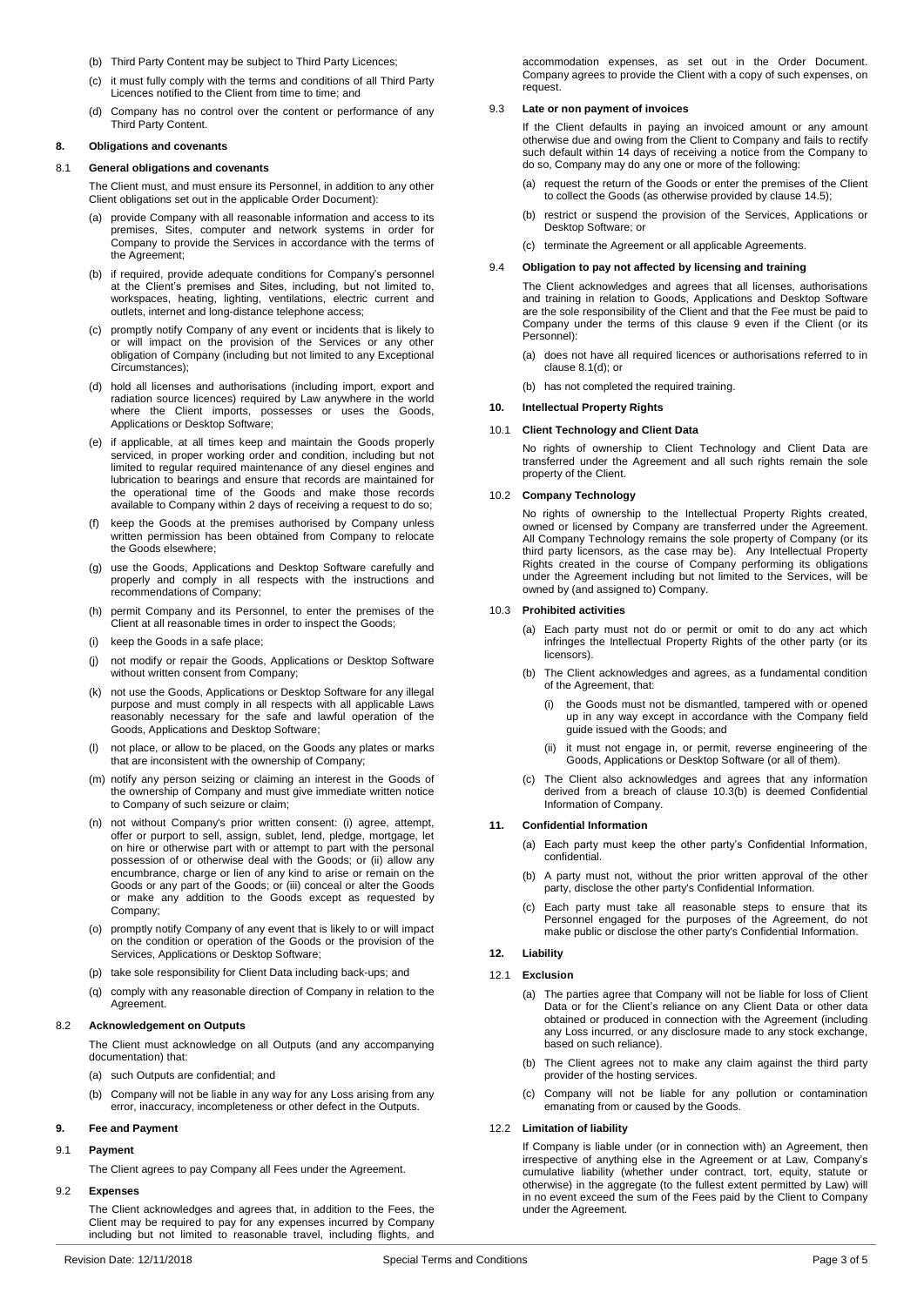- (b) Third Party Content may be subject to Third Party Licences;
- (c) it must fully comply with the terms and conditions of all Third Party Licences notified to the Client from time to time; and
- (d) Company has no control over the content or performance of any Third Party Content.

### **8. Obligations and covenants**

#### <span id="page-2-1"></span>8.1 **General obligations and covenants**

The Client must, and must ensure its Personnel, in addition to any other Client obligations set out in the applicable Order Document):

- provide Company with all reasonable information and access to its premises, Sites, computer and network systems in order for Company to provide the Services in accordance with the terms of the Agreement;
- (b) if required, provide adequate conditions for Company's personnel at the Client's premises and Sites, including, but not limited to, workspaces, heating, lighting, ventilations, electric current and outlets, internet and long-distance telephone access;
- (c) promptly notify Company of any event or incidents that is likely to or will impact on the provision of the Services or any other obligation of Company (including but not limited to any Exceptional Circumstances);
- <span id="page-2-3"></span>(d) hold all licenses and authorisations (including import, export and radiation source licences) required by Law anywhere in the world where the Client imports, possesses or uses the Goods, Applications or Desktop Software;
- <span id="page-2-6"></span>(e) if applicable, at all times keep and maintain the Goods properly serviced, in proper working order and condition, including but not limited to regular required maintenance of any diesel engines and lubrication to bearings and ensure that records are maintained for the operational time of the Goods and make those records available to Company within 2 days of receiving a request to do so;
- (f) keep the Goods at the premises authorised by Company unless written permission has been obtained from Company to relocate the Goods elsewhere;
- (g) use the Goods, Applications and Desktop Software carefully and properly and comply in all respects with the instructions and recommendations of Company;
- (h) permit Company and its Personnel, to enter the premises of the Client at all reasonable times in order to inspect the Goods;
- (i) keep the Goods in a safe place;
- (j) not modify or repair the Goods, Applications or Desktop Software without written consent from Company;
- (k) not use the Goods, Applications or Desktop Software for any illegal purpose and must comply in all respects with all applicable Laws reasonably necessary for the safe and lawful operation of the Goods, Applications and Desktop Software;
- (l) not place, or allow to be placed, on the Goods any plates or marks that are inconsistent with the ownership of Company;
- (m) notify any person seizing or claiming an interest in the Goods of the ownership of Company and must give immediate written notice to Company of such seizure or claim;
- (n) not without Company's prior written consent: (i) agree, attempt, offer or purport to sell, assign, sublet, lend, pledge, mortgage, let on hire or otherwise part with or attempt to part with the personal possession of or otherwise deal with the Goods; or (ii) allow any encumbrance, charge or lien of any kind to arise or remain on the Goods or any part of the Goods; or (iii) conceal or alter the Goods or make any addition to the Goods except as requested by Company;
- (o) promptly notify Company of any event that is likely to or will impact on the condition or operation of the Goods or the provision of the Services, Applications or Desktop Software;
- (p) take sole responsibility for Client Data including back-ups; and
- (q) comply with any reasonable direction of Company in relation to the **Agreement**

#### 8.2 **Acknowledgement on Outputs**

The Client must acknowledge on all Outputs (and any accompanying documentation) that:

- (a) such Outputs are confidential; and
- (b) Company will not be liable in any way for any Loss arising from any error, inaccuracy, incompleteness or other defect in the Outputs.

# <span id="page-2-2"></span>**9. Fee and Payment**

# 9.1 **Payment**

The Client agrees to pay Company all Fees under the Agreement.

# 9.2 **Expenses**

The Client acknowledges and agrees that, in addition to the Fees, the Client may be required to pay for any expenses incurred by Company including but not limited to reasonable travel, including flights, and accommodation expenses, as set out in the Order Document. Company agrees to provide the Client with a copy of such expenses, on request.

### <span id="page-2-5"></span>9.3 **Late or non payment of invoices**

If the Client defaults in paying an invoiced amount or any amount otherwise due and owing from the Client to Company and fails to rectify such default within 14 days of receiving a notice from the Company to do so, Company may do any one or more of the following:

- (a) request the return of the Goods or enter the premises of the Client to collect the Goods (as otherwise provided by claus[e 14.5\)](#page-3-2);
- (b) restrict or suspend the provision of the Services, Applications or Desktop Software; or
- (c) terminate the Agreement or all applicable Agreements.

# 9.4 **Obligation to pay not affected by licensing and training**

The Client acknowledges and agrees that all licenses, authorisations and training in relation to Goods, Applications and Desktop Software are the sole responsibility of the Client and that the Fee must be paid to Company under the terms of this clause [9](#page-2-2) even if the Client (or its Personnel):

- (a) does not have all required licences or authorisations referred to in claus[e 8.1\(d\);](#page-2-3) or
- (b) has not completed the required training.

#### <span id="page-2-7"></span>**10. Intellectual Property Rights**

### 10.1 **Client Technology and Client Data**

No rights of ownership to Client Technology and Client Data are transferred under the Agreement and all such rights remain the sole property of the Client.

## 10.2 **Company Technology**

No rights of ownership to the Intellectual Property Rights created, owned or licensed by Company are transferred under the Agreement. All Company Technology remains the sole property of Company (or its third party licensors, as the case may be). Any Intellectual Property Rights created in the course of Company performing its obligations under the Agreement including but not limited to the Services, will be owned by (and assigned to) Company.

## <span id="page-2-0"></span>10.3 **Prohibited activities**

- (a) Each party must not do or permit or omit to do any act which infringes the Intellectual Property Rights of the other party (or its licensors).
- <span id="page-2-4"></span>(b) The Client acknowledges and agrees, as a fundamental condition of the Agreement, that:
	- the Goods must not be dismantled, tampered with or opened up in any way except in accordance with the Company field guide issued with the Goods; and
	- it must not engage in, or permit, reverse engineering of the Goods, Applications or Desktop Software (or all of them).
- (c) The Client also acknowledges and agrees that any information derived from a breach of clause [10.3\(b\)](#page-2-4) is deemed Confidential Information of Company.

#### **11. Confidential Information**

- (a) Each party must keep the other party's Confidential Information, confidential.
- (b) A party must not, without the prior written approval of the other party, disclose the other party's Confidential Information.
- (c) Each party must take all reasonable steps to ensure that its Personnel engaged for the purposes of the Agreement, do not make public or disclose the other party's Confidential Information.

# <span id="page-2-8"></span>**12. Liability**

# 12.1 **Exclusion**

- (a) The parties agree that Company will not be liable for loss of Client Data or for the Client's reliance on any Client Data or other data obtained or produced in connection with the Agreement (including any Loss incurred, or any disclosure made to any stock exchange, based on such reliance).
- (b) The Client agrees not to make any claim against the third party provider of the hosting services.
- (c) Company will not be liable for any pollution or contamination emanating from or caused by the Goods.

# 12.2 **Limitation of liability**

If Company is liable under (or in connection with) an Agreement, then irrespective of anything else in the Agreement or at Law, Company's cumulative liability (whether under contract, tort, equity, statute or otherwise) in the aggregate (to the fullest extent permitted by Law) will in no event exceed the sum of the Fees paid by the Client to Company under the Agreement.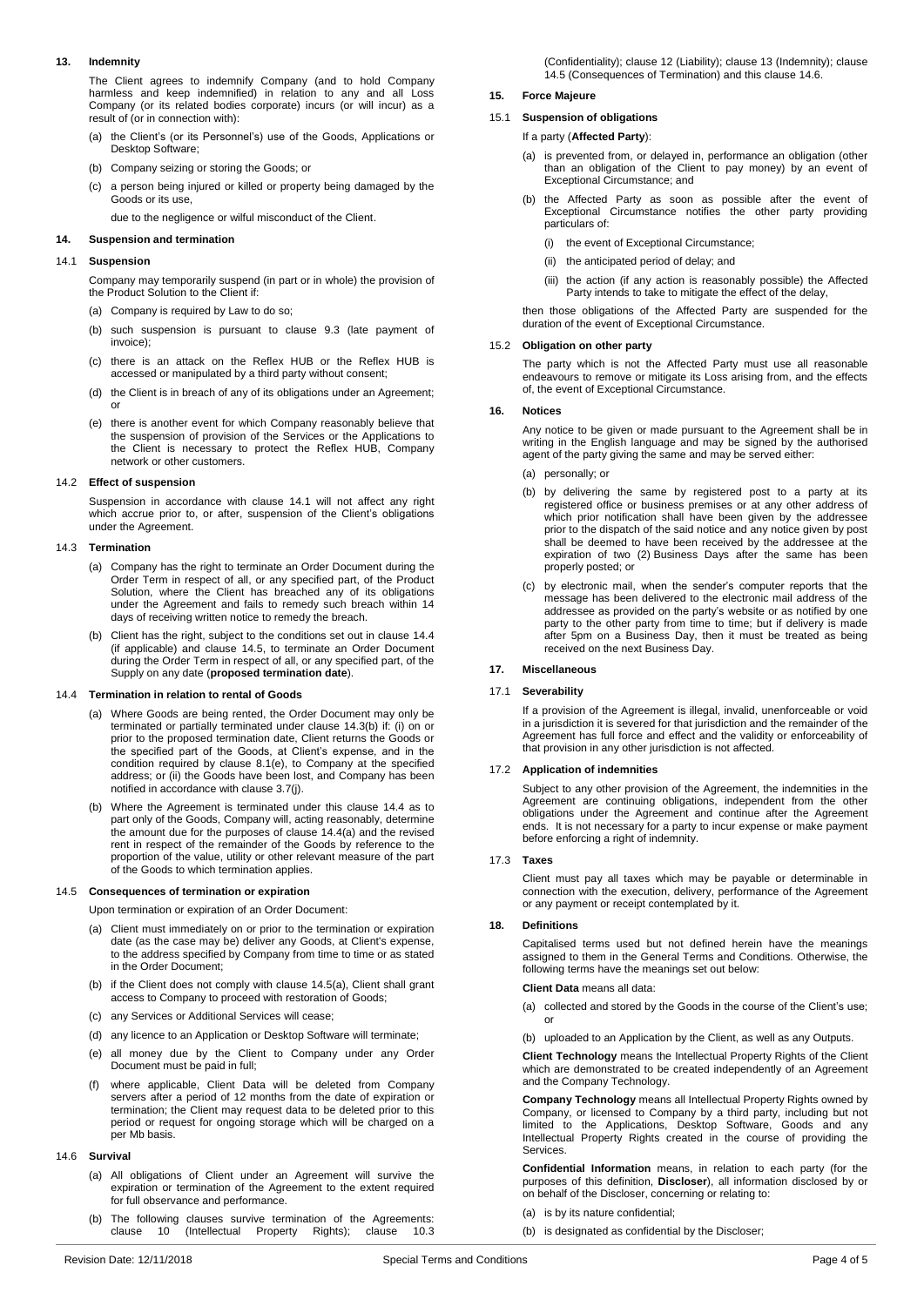# <span id="page-3-7"></span>**13. Indemnity**

The Client agrees to indemnify Company (and to hold Company harmless and keep indemnified) in relation to any and all Loss Company (or its related bodies corporate) incurs (or will incur) as a result of (or in connection with):

- (a) the Client's (or its Personnel's) use of the Goods, Applications or Desktop Software;
- (b) Company seizing or storing the Goods; or
- (c) a person being injured or killed or property being damaged by the Goods or its use,

due to the negligence or wilful misconduct of the Client.

### **14. Suspension and termination**

## <span id="page-3-3"></span>14.1 **Suspension**

Company may temporarily suspend (in part or in whole) the provision of the Product Solution to the Client if:

- (a) Company is required by Law to do so;
- (b) such suspension is pursuant to clause [9.3](#page-2-5) (late payment of invoice);
- (c) there is an attack on the Reflex HUB or the Reflex HUB is accessed or manipulated by a third party without consent;
- (d) the Client is in breach of any of its obligations under an Agreement; or
- (e) there is another event for which Company reasonably believe that the suspension of provision of the Services or the Applications to the Client is necessary to protect the Reflex HUB, Company network or other customers.

#### 14.2 **Effect of suspension**

Suspension in accordance with clause [14.1](#page-3-3) will not affect any right which accrue prior to, or after, suspension of the Client's obligations under the Agreement.

### <span id="page-3-0"></span>14.3 **Termination**

- (a) Company has the right to terminate an Order Document during the Order Term in respect of all, or any specified part, of the Product Solution, where the Client has breached any of its obligations under the Agreement and fails to remedy such breach within 14 days of receiving written notice to remedy the breach.
- <span id="page-3-4"></span>(b) Client has the right, subject to the conditions set out in clause [14.4](#page-3-1) (if applicable) and clause [14.5,](#page-3-2) to terminate an Order Document during the Order Term in respect of all, or any specified part, of the Supply on any date (**proposed termination date**).

#### <span id="page-3-5"></span><span id="page-3-1"></span>14.4 **Termination in relation to rental of Goods**

- (a) Where Goods are being rented, the Order Document may only be terminated or partially terminated under clause [14.3\(b\)](#page-3-4) if: (i) on or prior to the proposed termination date, Client returns the Goods or the specified part of the Goods, at Client's expense, and in the condition required by clause [8.1\(e\),](#page-2-6) to Company at the specified address; or (ii) the Goods have been lost, and Company has been notified in accordance with clause [3.7\(j\).](#page-1-2)
- (b) Where the Agreement is terminated under this clause [14.4](#page-3-1) as to part only of the Goods, Company will, acting reasonably, determine the amount due for the purposes of clause [14.4\(a\)](#page-3-5) and the revised rent in respect of the remainder of the Goods by reference to the proportion of the value, utility or other relevant measure of the part of the Goods to which termination applies.

### <span id="page-3-6"></span><span id="page-3-2"></span>14.5 **Consequences of termination or expiration**

Upon termination or expiration of an Order Document:

- (a) Client must immediately on or prior to the termination or expiration date (as the case may be) deliver any Goods, at Client's expense, to the address specified by Company from time to time or as stated in the Order Document;
- (b) if the Client does not comply with claus[e 14.5\(a\),](#page-3-6) Client shall grant access to Company to proceed with restoration of Goods;
- (c) any Services or Additional Services will cease;
- (d) any licence to an Application or Desktop Software will terminate;
- (e) all money due by the Client to Company under any Order Document must be paid in full;
- (f) where applicable, Client Data will be deleted from Company servers after a period of 12 months from the date of expiration or termination; the Client may request data to be deleted prior to this period or request for ongoing storage which will be charged on a per Mb basis.

### <span id="page-3-8"></span>14.6 **Survival**

- (a) All obligations of Client under an Agreement will survive the expiration or termination of the Agreement to the extent required for full observance and performance.
- (b) The following clauses survive termination of the Agreements:<br>clause 10 (Intellectual Property Rights); clause 10.3 clause [10](#page-2-7) Property

# **15. Force Majeure**

# 15.1 **Suspension of obligations**

If a party (**Affected Party**):

- (a) is prevented from, or delayed in, performance an obligation (other than an obligation of the Client to pay money) by an event of Exceptional Circumstance; and
- (b) the Affected Party as soon as possible after the event of Exceptional Circumstance notifies the other party providing particulars of:
	- (i) the event of Exceptional Circumstance;
	- (ii) the anticipated period of delay; and
	- (iii) the action (if any action is reasonably possible) the Affected Party intends to take to mitigate the effect of the delay,

then those obligations of the Affected Party are suspended for the duration of the event of Exceptional Circumstance.

# 15.2 **Obligation on other party**

The party which is not the Affected Party must use all reasonable endeavours to remove or mitigate its Loss arising from, and the effects of, the event of Exceptional Circumstance.

#### **16. Notices**

Any notice to be given or made pursuant to the Agreement shall be in writing in the English language and may be signed by the authorised agent of the party giving the same and may be served either:

- (a) personally; or
- (b) by delivering the same by registered post to a party at its registered office or business premises or at any other address of which prior notification shall have been given by the addressee prior to the dispatch of the said notice and any notice given by post shall be deemed to have been received by the addressee at the expiration of two (2) Business Days after the same has been properly posted; or
- (c) by electronic mail, when the sender's computer reports that the message has been delivered to the electronic mail address of the addressee as provided on the party's website or as notified by one party to the other party from time to time; but if delivery is made after 5pm on a Business Day, then it must be treated as being received on the next Business Day.

# **17. Miscellaneous**

### 17.1 **Severability**

If a provision of the Agreement is illegal, invalid, unenforceable or void in a jurisdiction it is severed for that jurisdiction and the remainder of the Agreement has full force and effect and the validity or enforceability of that provision in any other jurisdiction is not affected.

# 17.2 **Application of indemnities**

Subject to any other provision of the Agreement, the indemnities in the Agreement are continuing obligations, independent from the other obligations under the Agreement and continue after the Agreement ends. It is not necessary for a party to incur expense or make payment before enforcing a right of indemnity.

#### 17.3 **Taxes**

Client must pay all taxes which may be payable or determinable in connection with the execution, delivery, performance of the Agreement or any payment or receipt contemplated by it.

## **18. Definitions**

Capitalised terms used but not defined herein have the meanings assigned to them in the General Terms and Conditions. Otherwise, the following terms have the meanings set out below:

### **Client Data** means all data:

(a) collected and stored by the Goods in the course of the Client's use; or

(b) uploaded to an Application by the Client, as well as any Outputs.

**Client Technology** means the Intellectual Property Rights of the Client which are demonstrated to be created independently of an Agreement and the Company Technology.

**Company Technology** means all Intellectual Property Rights owned by Company, or licensed to Company by a third party, including but not limited to the Applications, Desktop Software, Goods and any Intellectual Property Rights created in the course of providing the Services.

**Confidential Information** means, in relation to each party (for the purposes of this definition, **Discloser**), all information disclosed by or on behalf of the Discloser, concerning or relating to:

- (a) is by its nature confidential;
- (b) is designated as confidential by the Discloser;